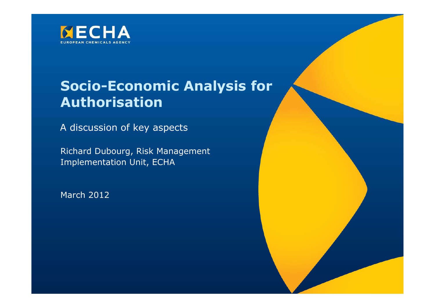

# **Socio-Economic Analysis for Authorisation**

A discussion of key aspects

Richard Dubourg, Risk ManagementImplementation Unit, ECHA

March 2012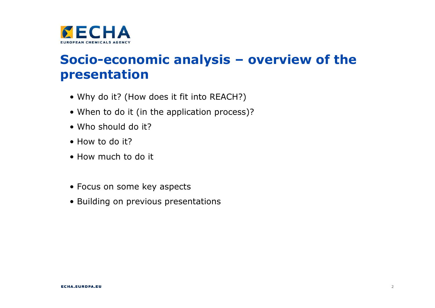

# **Socio-economic analysis – overview of the presentation**

- Why do it? (How does it fit into REACH?)
- When to do it (in the application process)?
- Who should do it?
- How to do it?
- How much to do it
- Focus on some key aspects
- Building on previous presentations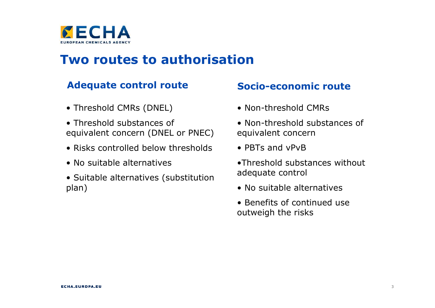

## **Two routes to authorisation**

#### **Adequate control route**

- Threshold CMRs (DNEL)
- Threshold substances of<br>equivalent concern (DNFL equivalent concern (DNEL or PNEC)
- Risks controlled below thresholds
- No suitable alternatives
- Suitable alternatives (substitution<br>nlan) plan)

#### **Socio-economic route**

- Non-threshold CMRs
- Non-threshold substances of<br>equivalent concern equivalent concern
- PBTs and vPvB
- •Threshold substances without adequate control
- No suitable alternatives
- Benefits of continued use<br>outweigh the risks outweigh the risks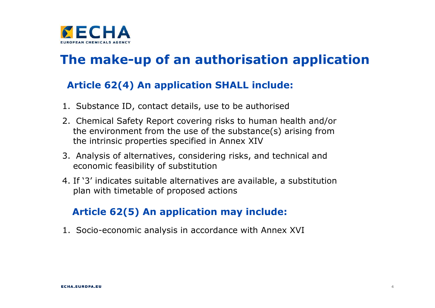

# **The make-up of an authorisation application**

#### **Article 62(4) An application SHALL include:**

- 1. Substance ID, contact details, use to be authorised
- 2. Chemical Safety Report covering risks to human health and/or the environment from the use of the substance(s) arising from the intrinsic properties specified in Annex XIV
- 3. Analysis of alternatives, considering risks, and technical and economic feasibility of substitution
- 4. If '3' indicates suitable alternatives are available, a substitution plan with timetable of proposed actions

### **Article 62(5) An application may include:**

1. Socio-economic analysis in accordance with Annex XVI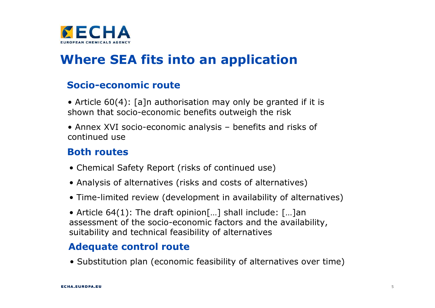

# **Where SEA fits into an application**

#### **Socio-economic route**

- Article 60(4): [a]n authorisation may only be granted if it is shown that socio-economic benefits outweigh the risk
- Annex XVI socio-economic analysis benefits and risks of<br>continued use continued use

#### **Both routes**

- Chemical Safety Report (risks of continued use)
- Analysis of alternatives (risks and costs of alternatives)
- Time-limited review (development in availability of alternatives)
- Article 64(1): The draft opinion[…] shall include: […]an assessment of the socio-economic factors and the availability, suitability and technical feasibility of alternatives

#### **Adequate control route**

• Substitution plan (economic feasibility of alternatives over time)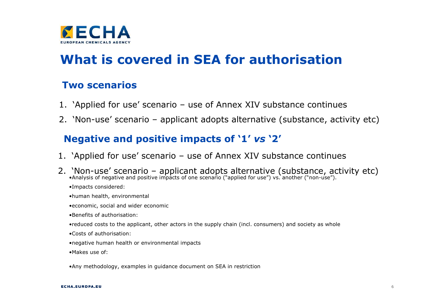

# **What is covered in SEA for authorisation**

#### **Two scenarios**

- 1. 'Applied for use' scenario use of Annex XIV substance continues
- 2. 'Non-use' scenario applicant adopts alternative (substance, activity etc)

## **Negative and positive impacts of '1'** *vs* **'2'**

- 1. 'Applied for use' scenario use of Annex XIV substance continues
- 2. 'Non-use' scenario applicant adopts alternative (substance, activity etc)<br>•Analysis of negative and positive impacts of one scenario ("applied for use") vs. another ("non-use").
	- •Impacts considered:
	- •human health, environmental
	- •economic, social and wider economic
	- •Benefits of authorisation:
	- •reduced costs to the applicant, other actors in the supply chain (incl. consumers) and society as whol e
	- •Costs of authorisation:
	- •negative human health or environmental impacts
	- •Makes use of:
	- •Any methodology, examples in guidance document on SEA in restriction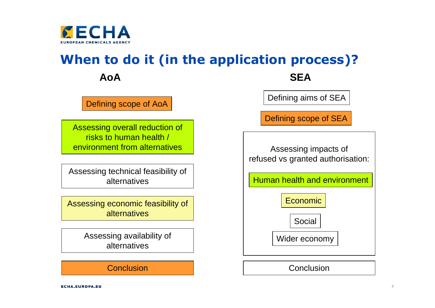

# **When to do it (in the application process)?**

**AoA**

Defining scope of AoA

Assessing overall reduction of risks to human health / environment from alternatives

Assessing technical feasibility of alternatives

Assessing economic feasibility of alternatives

> Assessing availability of alternatives

#### **Conclusion**

A SEA

Defining aims of SEA

Defining scope of SEA

Assessing impacts of refused vs granted authorisation:

Human health and environment

Economic

**Social** 

Wider economy

**Conclusion**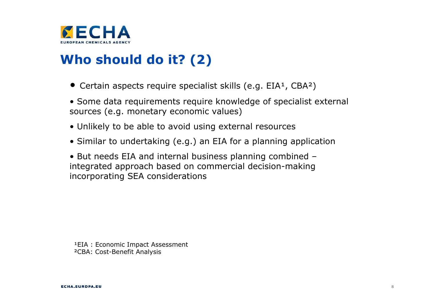

# **Who should do it? (2)**

- Certain aspects require specialist skills (e.g.  $EIA<sup>1</sup>$ , CBA<sup>2</sup>)
- Some data requirements require knowledge of specialist external<br>sources (e.g. monetary economic values) sources (e.g. monetary economic values)
- Unlikely to be able to avoid using external resources
- Similar to undertaking (e.g.) an EIA for a planning application

• But needs EIA and internal business planning combined – integrated approach based on commercial decision-making incorporating SEA considerations

<sup>1</sup>EIA : Economic Impact Assessment ²CBA: Cost-Benefit Analysis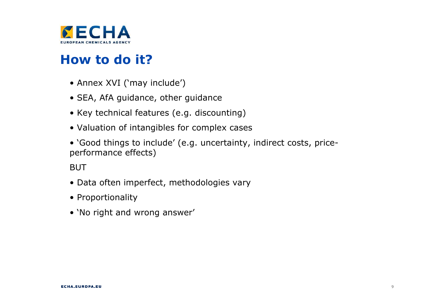

## **How to do it?**

- Annex XVI ('may include')
- SEA, AfA guidance, other guidance
- Key technical features (e.g. discounting)
- Valuation of intangibles for complex cases
- `Good things to include' (e.g. uncertainty, indirect costs, price-<br>performance effects) performance effects)

BUT

- Data often imperfect, methodologies vary
- Proportionality
- 'No right and wrong answer'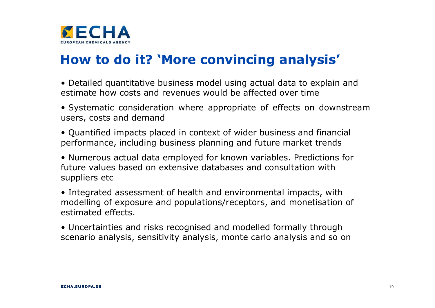

## **How to do it? 'More convincing analysis'**

- Detailed quantitative business model using actual data to explain and<br>estimate how costs and revenues would be affected over time estimate how costs and revenues would be affected over time
- Systematic consideration where appropriate of effects on downstream<br>users, costs and demand users, costs and demand
- Quantified impacts placed in context of wider business and financial performance, including business planning and future market trends
- Numerous actual data employed for known variables. Predictions for future values based on extensive databases and consultation withsuppliers etc
- Integrated assessment of health and environmental impacts, with modelling of exposure and populations/receptors, and monetisation of estimated effects.
- Uncertainties and risks recognised and modelled formally through scenario analysis, sensitivity analysis, monte carlo analysis and so on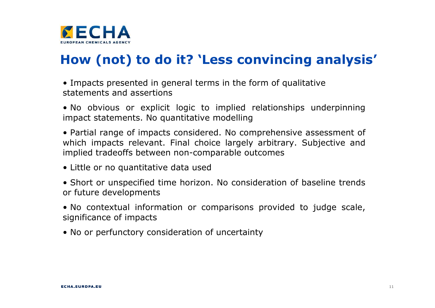

# **How (not) to do it? 'Less convincing analysis'**

• Impacts presented in general terms in the form of qualitative<br>statements and assertions statements and assertions

• No obvious or explicit logic to implied relationships underpinning impact statements. No quantitative modelling

• Partial range of impacts considered. No comprehensive assessment of<br>which impacts relevant. Final choice largely arbitrary. Subjective and which impacts relevant. Final choice largely arbitrary. Subjective and implied tradeoffs between non-comparable outcomes

• Little or no quantitative data used

• Short or unspecified time horizon. No consideration of baseline trends<br>or future developments or future developments

• No contextual information or comparisons provided to judge scale,<br>significance of impacts significance of impacts

• No or perfunctory consideration of uncertainty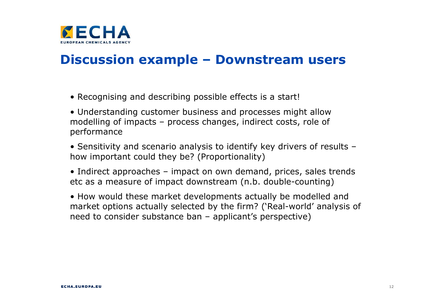

## **Discussion example – Downstream users**

- Recognising and describing possible effects is a start!
- Understanding customer business and processes might allow<br>modelling of impacts process changes, indirect costs, role of modelling of impacts – process changes, indirect costs, role of performance
- Sensitivity and scenario analysis to identify key drivers of results –<br>how important could they he? (Proportionality) how important could they be? (Proportionality)
- Indirect approaches impact on own demand, prices, sales trends<br>etc as a measure of impact downstream (n h double-counting) etc as a measure of impact downstream (n.b. double-counting)
- How would these market developments actually be modelled and market options actually selected by the firm? ('Real-world' analysis of need to consider substance ban – applicant's perspective)